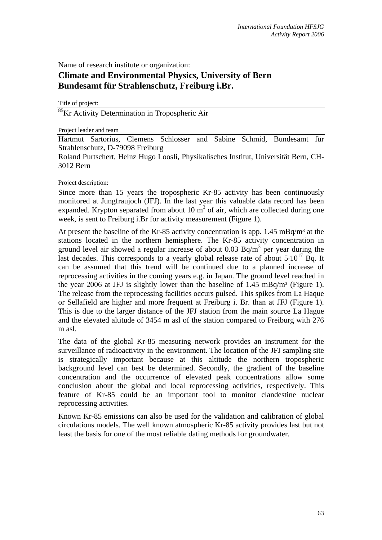Name of research institute or organization:

## **Climate and Environmental Physics, University of Bern Bundesamt für Strahlenschutz, Freiburg i.Br.**

Title of project:

<sup>85</sup>Kr Activity Determination in Tropospheric Air

## Project leader and team

Hartmut Sartorius, Clemens Schlosser and Sabine Schmid. Bundesamt für Strahlenschutz, D-79098 Freiburg

Roland Purtschert, Heinz Hugo Loosli, Physikalisches Institut, Universität Bern, CH-3012 Bern

Project description:

Since more than 15 years the tropospheric Kr-85 activity has been continuously monitored at Jungfraujoch (JFJ). In the last year this valuable data record has been expanded. Krypton separated from about  $10 \text{ m}^3$  of air, which are collected during one week, is sent to Freiburg i.Br for activity measurement (Figure 1).

At present the baseline of the Kr-85 activity concentration is app.  $1.45 \text{ mBq/m}^3$  at the stations located in the northern hemisphere. The Kr-85 activity concentration in ground level air showed a regular increase of about  $0.03$  Bq/m<sup>3</sup> per year during the last decades. This corresponds to a yearly global release rate of about  $5.10^{17}$  Bq. It can be assumed that this trend will be continued due to a planned increase of reprocessing activities in the coming years e.g. in Japan. The ground level reached in the year 2006 at JFJ is slightly lower than the baseline of  $1.45 \text{ mBq/m}^3$  (Figure 1). The release from the reprocessing facilities occurs pulsed. This spikes from La Haque or Sellafield are higher and more frequent at Freiburg i. Br. than at JFJ (Figure 1). This is due to the larger distance of the JFJ station from the main source La Hague and the elevated altitude of 3454 m asl of the station compared to Freiburg with 276 m asl.

The data of the global Kr-85 measuring network provides an instrument for the surveillance of radioactivity in the environment. The location of the JFJ sampling site is strategically important because at this altitude the northern tropospheric background level can best be determined. Secondly, the gradient of the baseline concentration and the occurrence of elevated peak concentrations allow some conclusion about the global and local reprocessing activities, respectively. This feature of Kr-85 could be an important tool to monitor clandestine nuclear reprocessing activities.

Known Kr-85 emissions can also be used for the validation and calibration of global circulations models. The well known atmospheric Kr-85 activity provides last but not least the basis for one of the most reliable dating methods for groundwater.